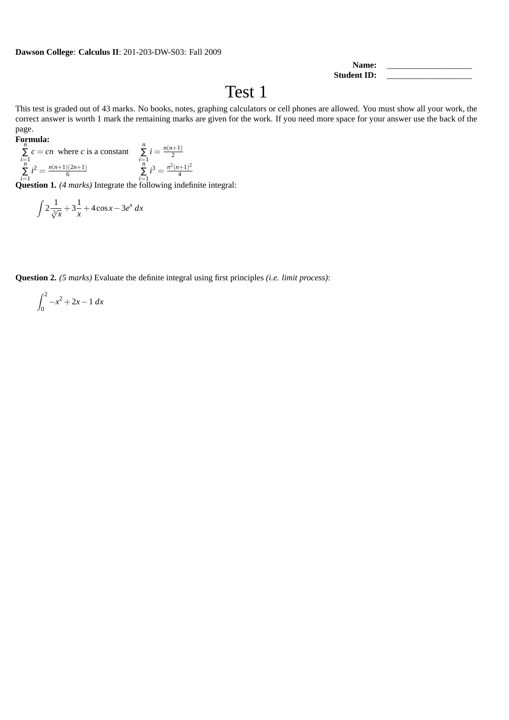**Name:** \_\_\_\_\_\_\_\_\_\_\_\_\_\_\_\_\_\_\_\_ Student ID:

## Test 1

This test is graded out of 43 marks. No books, notes, graphing calculators or cell phones are allowed. You must show all your work, the correct answer is worth 1 mark the remaining marks are given for the work. If you need more space for your answer use the back of the page.

**Formula:**  
\n
$$
\sum_{i=1}^{n} c = cn \text{ where } c \text{ is a constant} \qquad \sum_{i=1}^{n} i = \frac{n(n+1)}{2}
$$
\n
$$
\sum_{i=1}^{n} i^{2} = \frac{n(n+1)(2n+1)}{6} \qquad \qquad \sum_{i=1}^{n} i^{3} = \frac{n^{2}(n+1)^{2}}{4}
$$

 $\overline{\mathbf{Q}}$ **i**=1<br>**Question 1.** (4 *marks*) Integrate the following indefinite integral:

$$
\int 2\frac{1}{\sqrt[3]{x}} + 3\frac{1}{x} + 4\cos x - 3e^x dx
$$

**Question 2.** *(5 marks)* Evaluate the definite integral using first principles *(i.e. limit process)*:

$$
\int_0^2 -x^2 + 2x - 1 \, dx
$$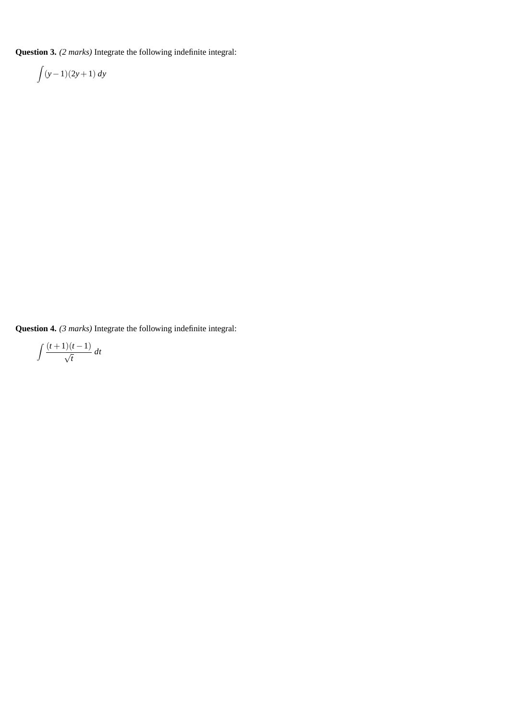**Question 3.** *(2 marks)* Integrate the following indefinite integral:

$$
\int (y-1)(2y+1) dy
$$

**Question 4.** *(3 marks)* Integrate the following indefinite integral:

$$
\int \frac{(t+1)(t-1)}{\sqrt{t}} dt
$$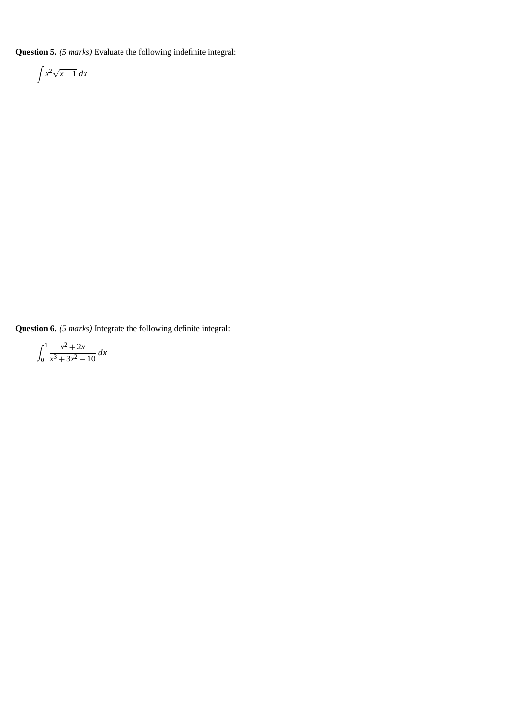**Question 5.** *(5 marks)* Evaluate the following indefinite integral:

$$
\int x^2 \sqrt{x-1} \, dx
$$

**Question 6.** *(5 marks)* Integrate the following definite integral:

$$
\int_0^1 \frac{x^2 + 2x}{x^3 + 3x^2 - 10} \, dx
$$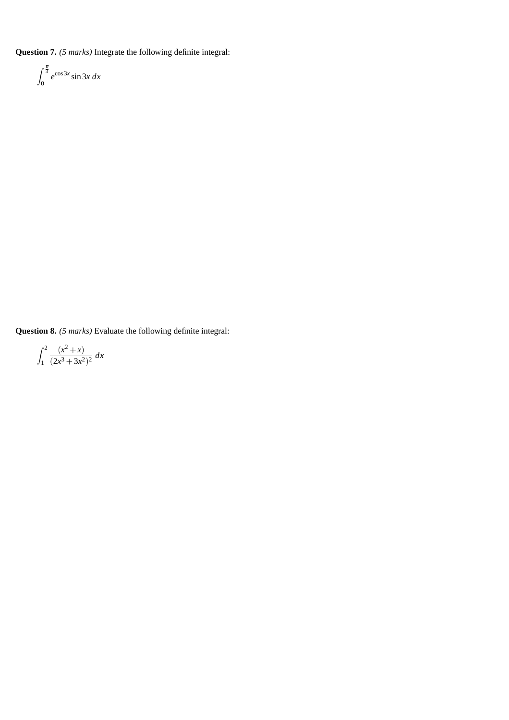**Question 7.** *(5 marks)* Integrate the following definite integral:

$$
\int_0^{\frac{\pi}{3}} e^{\cos 3x} \sin 3x \, dx
$$

**Question 8.** *(5 marks)* Evaluate the following definite integral:

$$
\int_{1}^{2} \frac{(x^2+x)}{(2x^3+3x^2)^2} \, dx
$$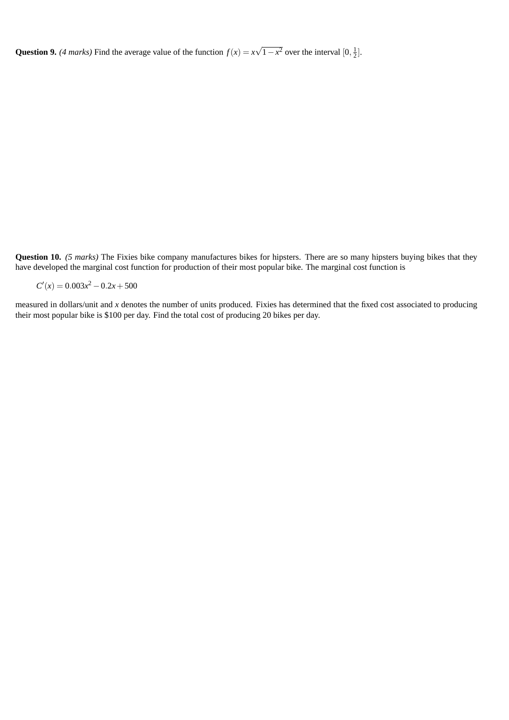Question 9. *(4 marks)* Find the average value of the function  $f(x) = x\sqrt{1-x^2}$  over the interval  $[0, \frac{1}{2}]$ .

**Question 10.** *(5 marks)* The Fixies bike company manufactures bikes for hipsters. There are so many hipsters buying bikes that they have developed the marginal cost function for production of their most popular bike. The marginal cost function is

$$
C'(x) = 0.003x^2 - 0.2x + 500
$$

measured in dollars/unit and *x* denotes the number of units produced. Fixies has determined that the fixed cost associated to producing their most popular bike is \$100 per day. Find the total cost of producing 20 bikes per day.